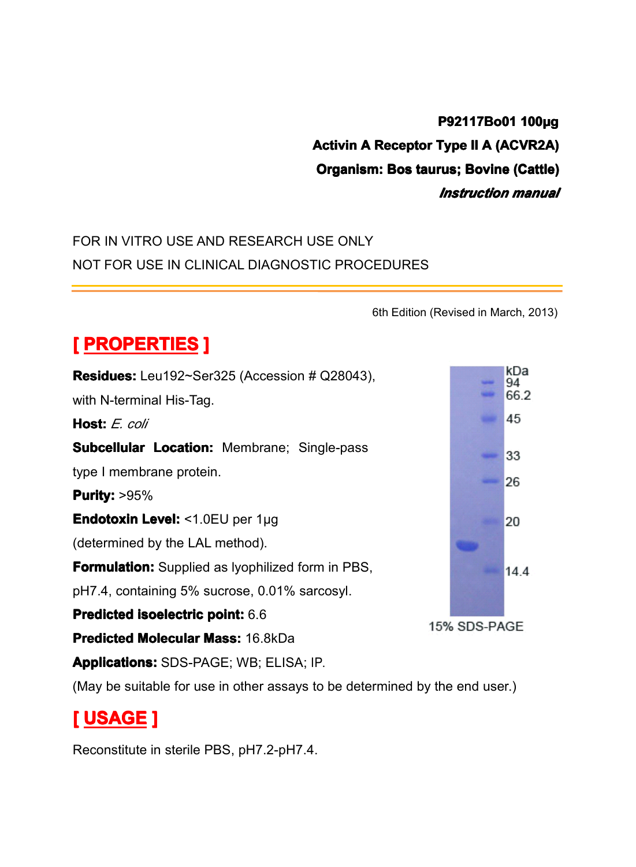## **P92117Bo01 100µg** Activin A Receptor Type II A (ACVR2A)<br>Organism: Bos taurus; Bovine (Cattle)<br>Instruction manual **Organism: Bos taurus; Bovine (Cattle)**<br> *Instruction manual*<br>
USE ONLY *Instruction Instruction manual*

## FOR IN VITRO USE AND RESEARCH USE ONLY<br>NOT FOR USE IN CLINICAL DIAGNOSTIC PROC NOT FOR USE IN CLINICAL DIAGNOSTIC PROCEDURES

|                                                                             | 6th Edition (Revised in March, 2013) |
|-----------------------------------------------------------------------------|--------------------------------------|
| <b>[ PROPERTIES ]</b>                                                       |                                      |
| <b>Residues:</b> Leu192~Ser325 (Accession # Q28043),                        | kDa<br>94                            |
| with N-terminal His-Tag.                                                    | 66.2                                 |
| Host: E. coli                                                               | 45                                   |
| <b>Subcellular Location: Membrane; Single-pass</b>                          | 33                                   |
| type I membrane protein.                                                    | 26                                   |
| <b>Purity: &gt;95%</b>                                                      |                                      |
| Endotoxin Level: <1.0EU per 1µg                                             | 20                                   |
| (determined by the LAL method).                                             |                                      |
| <b>Formulation:</b> Supplied as Iyophilized form in PBS,                    | 144                                  |
| pH7.4, containing 5% sucrose, 0.01% sarcosyl.                               |                                      |
| Predicted isoelectric point: 6.6                                            | 15% SDS-PAGE                         |
| Predicted Molecular Mass: 16.8kDa                                           |                                      |
| <b>Applications: SDS-PAGE; WB; ELISA; IP.</b>                               |                                      |
| (May be suitable for use in other assays to be determined by the end user.) |                                      |
| <u>[ USAGE ]</u>                                                            |                                      |
| Reconstitute in sterile PBS, pH7.2-pH7.4.                                   |                                      |

# **[ USAGE ]**

Reconstitute in sterile PBS, pH7.2-pH7.4.